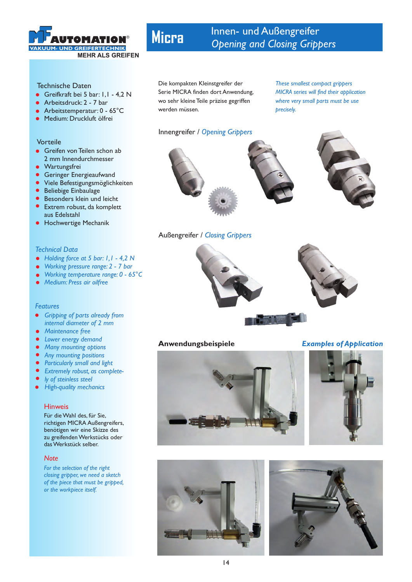

#### Technische Daten

- Greifkraft bei 5 bar: 1,1 4,2 N
- Arbeitsdruck: 2 7 bar
- Arbeitstemperatur: 0 65°C
- **Medium: Druckluft ölfrei**

#### Vorteile

- **Greifen von Teilen schon ab** 2 mm Innendurchmesser
- Wartungsfrei  $\bullet$
- Geringer Energieaufwand
- $\bullet$ Viele Befestigungsmöglichkeiten
- Beliebige Einbaulage
- **Besonders klein und leicht**
- **•** Extrem robust, da komplett aus Edelstahl
- **Hochwertige Mechanik**

#### *Technical Data*

- *Holding force at 5 bar: 1,1 4,2 N*
- *Working pressure range: 2 7 bar*
- *Working temperature range: 0 65°C*
- *Medium: Press air oilfree*

#### *Features*

- *Gripping of parts already from internal diameter of 2 mm*
- *Maintenance free*  $\bullet$
- *Lower energy demand*
- $\bullet$ *Many mounting options*
- *Any mounting positions*
- *Particularly small and light*
- *Extremely robust, as complete-*
- *ly of steinless steel*
- *High-quality mechanics*  $\bullet$

#### Hinweis

Für die Wahl des, für Sie, richtigen MICRA Außengreifers, benötigen wir eine Skizze des zu greifenden Werkstücks oder das Werkstück selber.

#### *Note*

*For the selection of the right closing gripper, we need a sketch of the piece that must be gripped, or the workpiece itself.*

# **Micra**

# Innen- und Außengreifer **AUTOMATION** Opening and Closing Grippers

Die kompakten Kleinstgreifer der Serie MICRA finden dort Anwendung, wo sehr kleine Teile präzise gegriffen werden müssen.

### Innengreifer / *Opening Grippers*

*These smallest compact grippers MICRA series will find their application where very small parts must be use precisely.*



## Außengreifer / *Closing Grippers*



**Anwendungsbeispiele** *Examples of Application*





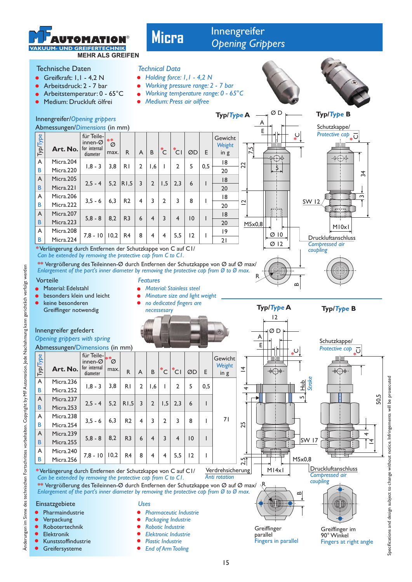

# Technische Daten

- Greifkraft: 1,1 4,2 N
- Arbeitsdruck: 2 7 bar
- Arbeitstemperatur: 0 65°C
- Medium: Druckluft ölfrei

**Micra**

# Innengreifer **AUTOMATION**

# *Technical Data*

- *Holding force: 1,1 4,2 N*
- $\bullet$ *Working pressure range: 2 - 7 bar*
- *Working temperature range: 0 65°C*
- *Medium: Press air oilfree*







- Robotertechnik
- Elektronik
- Kunststoffindustrie
- **Greifersysteme**
- 
- $\bullet$ *Robotic Industrie*
- *Elektronic Industrie*
- *Plastic Industrie*   $\bullet$
- *End of Arm Tooling*





Greiffinger im 90° Winkel

15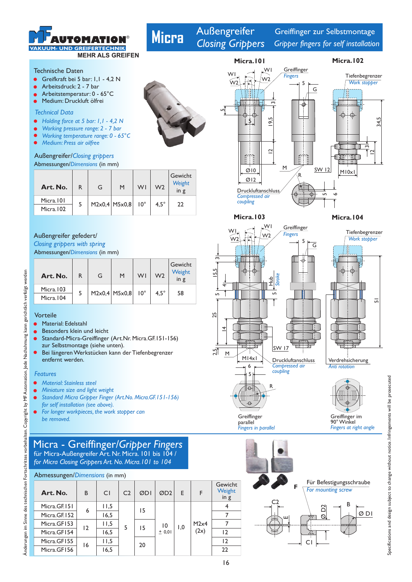

Technische Daten

- Greifkraft bei 5 bar: 1,1 4,2 N
- Arbeitsdruck: 2 7 bar
- Arbeitstemperatur: 0 65°C
- Medium: Druckluft ölfrei

#### *Technical Data*

- $\bullet$ *Holding force at 5 bar: 1,1 - 4,2 N*
- *Working pressure range: 2 7 bar*
- *Working temperature range: 0 65°C*
- *Medium: Press air oilfree*
- 

### Abmessungen/Dimensions (in mm) Außengreifer/*Closing grippers*

| Art. No.                 | R. | G | M                 | WI           | W <sub>2</sub> | Gewicht<br>Weight<br>$\overline{m}$ |
|--------------------------|----|---|-------------------|--------------|----------------|-------------------------------------|
| Micra. 101<br>Micra. 102 |    |   | $M2x0,4$ $M5x0,8$ | $10^{\circ}$ | $4.5^\circ$    | 22                                  |

#### Außengreifer gefedert/

Abmessungen/Dimensions (in mm) *Closing grippers with spring*

| Art. No.   | R. | G | M               | WI           | W <sub>2</sub> | Gewicht<br>Weight<br>in g |
|------------|----|---|-----------------|--------------|----------------|---------------------------|
| Micra.103  |    |   |                 | $10^{\circ}$ |                | 58                        |
| Micra. 104 |    |   | $M2x0,4$ M5x0,8 |              | $4.5^\circ$    |                           |

#### Vorteile

ahmung kann gerichtlich verfolgt werden

- Material: Edelstahl
- Besonders klein und leicht
- Standard-Micra-Greiffinger (Art.Nr. Micra.GF.151-156) zur Selbstmontage (siehe unten).
- Bei längeren Werkstücken kann der Tiefenbegrenzer entfernt werden.

#### *Features*

Änderungen im Sinne des technischen Fortschrittes vorbehalten. Copyright by MF Automation. Jede Nach

Anderungen im Sinne des technischen Fortschrittes vorbehalten. Copyright by MF Automation. Jede Nachahmung kann gerichtlich verfolgt werden

- *Material: Stainless steel*
- *Miniature size and light weight*
- *Standard Micra Gripper Finger (Art.No. Micra.GF.151-156) for self installation (see above).*
- *For longer workpieces, the work stopper can be removed.*

# Micra - Greiffinger/*Gripper Fingers* für Micra-Außengreifer Art. Nr. Micra. 101 bis 104 /

*for Micra Closing Grippers Art. No. Micra.101 to 104*

| Abmessungen/Dimensions (in mm) |                |                |                |     |                             |     |              |                             |
|--------------------------------|----------------|----------------|----------------|-----|-----------------------------|-----|--------------|-----------------------------|
| Art. No.                       | B              | C <sub>1</sub> | C <sub>2</sub> | ØDI | ØD <sub>2</sub>             | F   | F            | Gewicht<br>Weight<br>in $g$ |
| Micra.GF.151                   | 6              | 11,5           |                | 15  | $\overline{10}$<br>$±$ 0,01 | 1.0 | M2x4<br>(2x) |                             |
| Micra.GF.152                   |                | 16,5           |                |     |                             |     |              |                             |
| Micra.GF153                    | $\overline{2}$ | 11,5           | 5              | 15  |                             |     |              |                             |
| Micra.GF154                    |                | 16,5           |                |     |                             |     |              | 12                          |
| Micra.GF155                    | 16             | 11,5           |                | 20  |                             |     |              | 12                          |
| Micra.GF156                    |                | 16,5           |                |     |                             |     |              | 22                          |



# **Micra**

Außengreifer *Closing Grippers* 

Greiffinger zur Selbstmontage *Gripper fingers for self installation*



**Greiffinger** parallel *Fingers in parallel*

**Micra.103 Micra.104**

*Work stopper*

Tiefenbegrenzer



Ġ  $\overline{5}$ 





*Fingers at right angle*